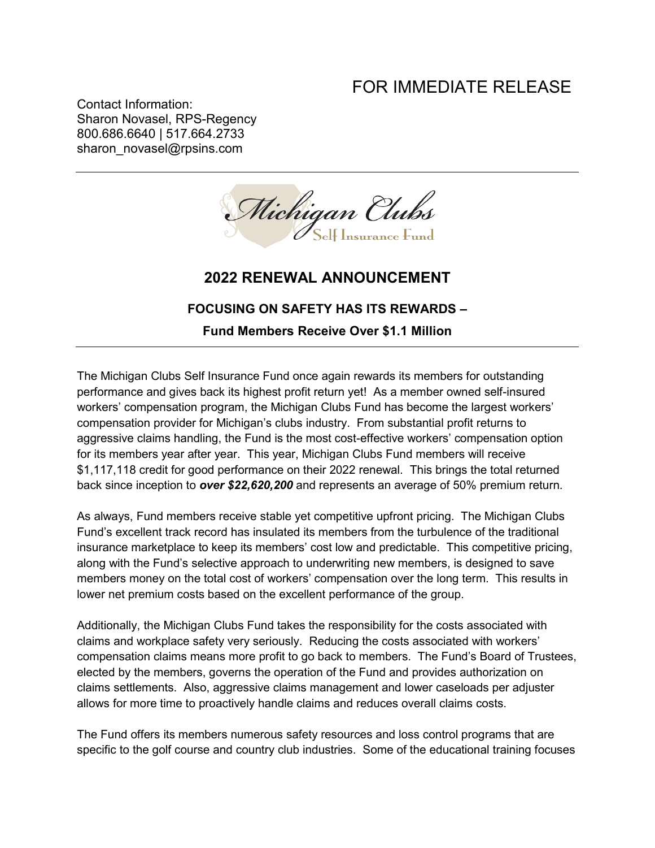## FOR IMMEDIATE RELEASE

Contact Information: Sharon Novasel, RPS-Regency 800.686.6640 | 517.664.2733 sharon\_novasel@rpsins.com



## **2022 RENEWAL ANNOUNCEMENT**

## **FOCUSING ON SAFETY HAS ITS REWARDS –**

**Fund Members Receive Over \$1.1 Million**

The Michigan Clubs Self Insurance Fund once again rewards its members for outstanding performance and gives back its highest profit return yet! As a member owned self-insured workers' compensation program, the Michigan Clubs Fund has become the largest workers' compensation provider for Michigan's clubs industry. From substantial profit returns to aggressive claims handling, the Fund is the most cost-effective workers' compensation option for its members year after year. This year, Michigan Clubs Fund members will receive \$1,117,118 credit for good performance on their 2022 renewal. This brings the total returned back since inception to *over \$22,620,200* and represents an average of 50% premium return.

As always, Fund members receive stable yet competitive upfront pricing. The Michigan Clubs Fund's excellent track record has insulated its members from the turbulence of the traditional insurance marketplace to keep its members' cost low and predictable. This competitive pricing, along with the Fund's selective approach to underwriting new members, is designed to save members money on the total cost of workers' compensation over the long term. This results in lower net premium costs based on the excellent performance of the group.

Additionally, the Michigan Clubs Fund takes the responsibility for the costs associated with claims and workplace safety very seriously. Reducing the costs associated with workers' compensation claims means more profit to go back to members. The Fund's Board of Trustees, elected by the members, governs the operation of the Fund and provides authorization on claims settlements. Also, aggressive claims management and lower caseloads per adjuster allows for more time to proactively handle claims and reduces overall claims costs.

The Fund offers its members numerous safety resources and loss control programs that are specific to the golf course and country club industries. Some of the educational training focuses